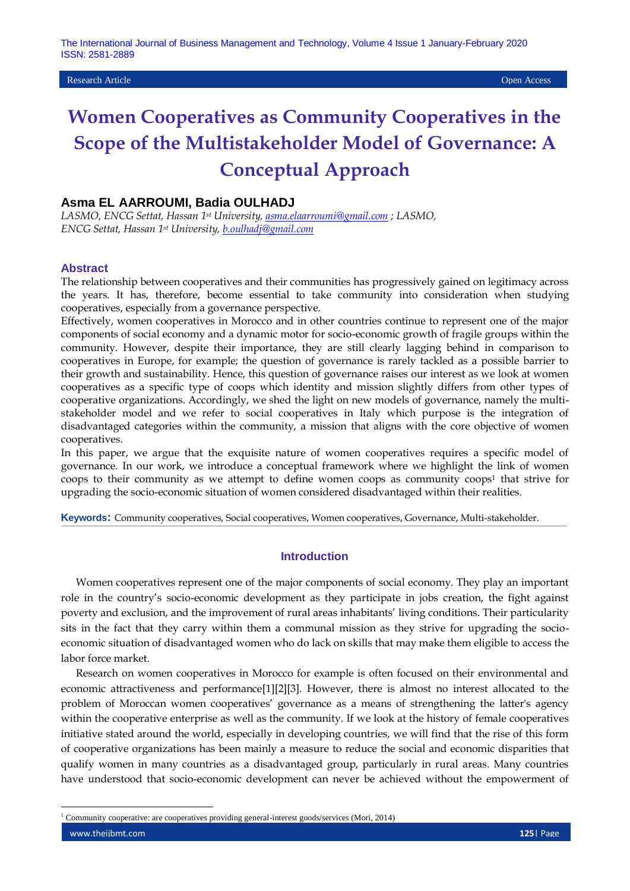#### Research Article Open Access

# **Women Cooperatives as Community Cooperatives in the Scope of the Multistakeholder Model of Governance: A Conceptual Approach**

# **Asma EL AARROUMI, Badia OULHADJ**

*LASMO, ENCG Settat, Hassan 1st University, [asma.elaarroumi@gmail.com](mailto:asma.elaarroumi@gmail.com) ; LASMO, ENCG Settat, Hassan 1st University[, b.oulhadj@gmail.com](mailto:b.oulhadj@gmail.com)*

## **Abstract**

The relationship between cooperatives and their communities has progressively gained on legitimacy across the years. It has, therefore, become essential to take community into consideration when studying cooperatives, especially from a governance perspective.

Effectively, women cooperatives in Morocco and in other countries continue to represent one of the major components of social economy and a dynamic motor for socio-economic growth of fragile groups within the community. However, despite their importance, they are still clearly lagging behind in comparison to cooperatives in Europe, for example; the question of governance is rarely tackled as a possible barrier to their growth and sustainability. Hence, this question of governance raises our interest as we look at women cooperatives as a specific type of coops which identity and mission slightly differs from other types of cooperative organizations. Accordingly, we shed the light on new models of governance, namely the multistakeholder model and we refer to social cooperatives in Italy which purpose is the integration of disadvantaged categories within the community, a mission that aligns with the core objective of women cooperatives.

In this paper, we argue that the exquisite nature of women cooperatives requires a specific model of governance. In our work, we introduce a conceptual framework where we highlight the link of women coops to their community as we attempt to define women coops as community coops<sup>1</sup> that strive for upgrading the socio-economic situation of women considered disadvantaged within their realities.

**Keywords:** Community cooperatives, Social cooperatives, Women cooperatives, Governance, Multi-stakeholder.

# **Introduction**

Women cooperatives represent one of the major components of social economy. They play an important role in the country"s socio-economic development as they participate in jobs creation, the fight against poverty and exclusion, and the improvement of rural areas inhabitants" living conditions. Their particularity sits in the fact that they carry within them a communal mission as they strive for upgrading the socioeconomic situation of disadvantaged women who do lack on skills that may make them eligible to access the labor force market.

Research on women cooperatives in Morocco for example is often focused on their environmental and economic attractiveness and performance[1][2][3]. However, there is almost no interest allocated to the problem of Moroccan women cooperatives" governance as a means of strengthening the latter's agency within the cooperative enterprise as well as the community. If we look at the history of female cooperatives initiative stated around the world, especially in developing countries, we will find that the rise of this form of cooperative organizations has been mainly a measure to reduce the social and economic disparities that qualify women in many countries as a disadvantaged group, particularly in rural areas. Many countries have understood that socio-economic development can never be achieved without the empowerment of

www.theijbmt.com **125**| Page

 $\overline{a}$ 

<sup>1</sup> Community cooperative: are cooperatives providing general-interest goods/services (Mori, 2014)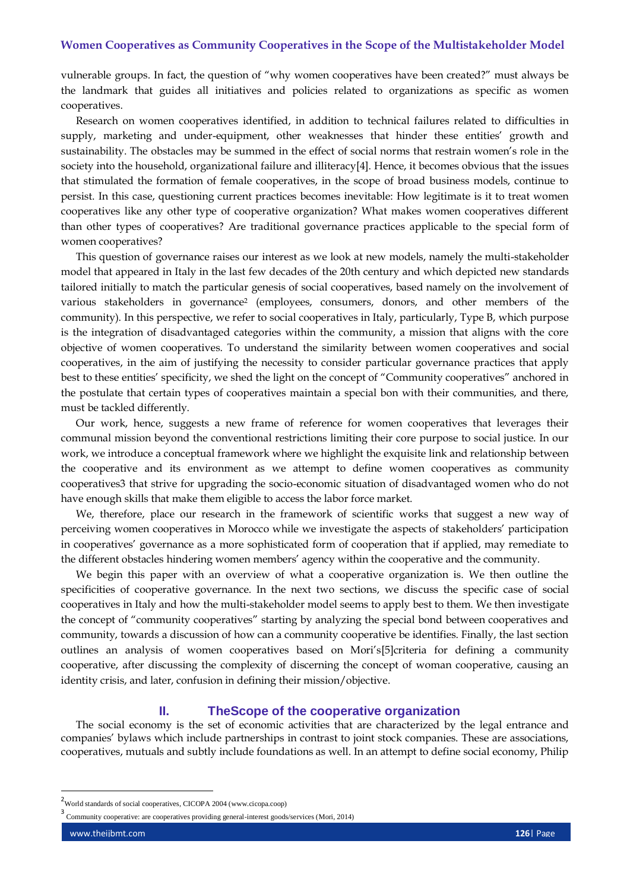vulnerable groups. In fact, the question of "why women cooperatives have been created?" must always be the landmark that guides all initiatives and policies related to organizations as specific as women cooperatives.

Research on women cooperatives identified, in addition to technical failures related to difficulties in supply, marketing and under-equipment, other weaknesses that hinder these entities' growth and sustainability. The obstacles may be summed in the effect of social norms that restrain women's role in the society into the household, organizational failure and illiteracy[4]. Hence, it becomes obvious that the issues that stimulated the formation of female cooperatives, in the scope of broad business models, continue to persist. In this case, questioning current practices becomes inevitable: How legitimate is it to treat women cooperatives like any other type of cooperative organization? What makes women cooperatives different than other types of cooperatives? Are traditional governance practices applicable to the special form of women cooperatives?

This question of governance raises our interest as we look at new models, namely the multi-stakeholder model that appeared in Italy in the last few decades of the 20th century and which depicted new standards tailored initially to match the particular genesis of social cooperatives, based namely on the involvement of various stakeholders in governance<sup>2</sup> (employees, consumers, donors, and other members of the community). In this perspective, we refer to social cooperatives in Italy, particularly, Type B, which purpose is the integration of disadvantaged categories within the community, a mission that aligns with the core objective of women cooperatives. To understand the similarity between women cooperatives and social cooperatives, in the aim of justifying the necessity to consider particular governance practices that apply best to these entities" specificity, we shed the light on the concept of "Community cooperatives" anchored in the postulate that certain types of cooperatives maintain a special bon with their communities, and there, must be tackled differently.

Our work, hence, suggests a new frame of reference for women cooperatives that leverages their communal mission beyond the conventional restrictions limiting their core purpose to social justice. In our work, we introduce a conceptual framework where we highlight the exquisite link and relationship between the cooperative and its environment as we attempt to define women cooperatives as community cooperatives3 that strive for upgrading the socio-economic situation of disadvantaged women who do not have enough skills that make them eligible to access the labor force market.

We, therefore, place our research in the framework of scientific works that suggest a new way of perceiving women cooperatives in Morocco while we investigate the aspects of stakeholders' participation in cooperatives" governance as a more sophisticated form of cooperation that if applied, may remediate to the different obstacles hindering women members" agency within the cooperative and the community.

We begin this paper with an overview of what a cooperative organization is. We then outline the specificities of cooperative governance. In the next two sections, we discuss the specific case of social cooperatives in Italy and how the multi-stakeholder model seems to apply best to them. We then investigate the concept of "community cooperatives" starting by analyzing the special bond between cooperatives and community, towards a discussion of how can a community cooperative be identifies. Finally, the last section outlines an analysis of women cooperatives based on Mori"s[5]criteria for defining a community cooperative, after discussing the complexity of discerning the concept of woman cooperative, causing an identity crisis, and later, confusion in defining their mission/objective.

#### **II. TheScope of the cooperative organization**

The social economy is the set of economic activities that are characterized by the legal entrance and companies" bylaws which include partnerships in contrast to joint stock companies. These are associations, cooperatives, mutuals and subtly include foundations as well. In an attempt to define social economy, Philip

<sup>2</sup> World standards of social cooperatives, CICOPA 2004 (www.cicopa.coop)

<sup>3</sup> Community cooperative: are cooperatives providing general-interest goods/services (Mori, 2014)

www.theijbmt.com **126**| Page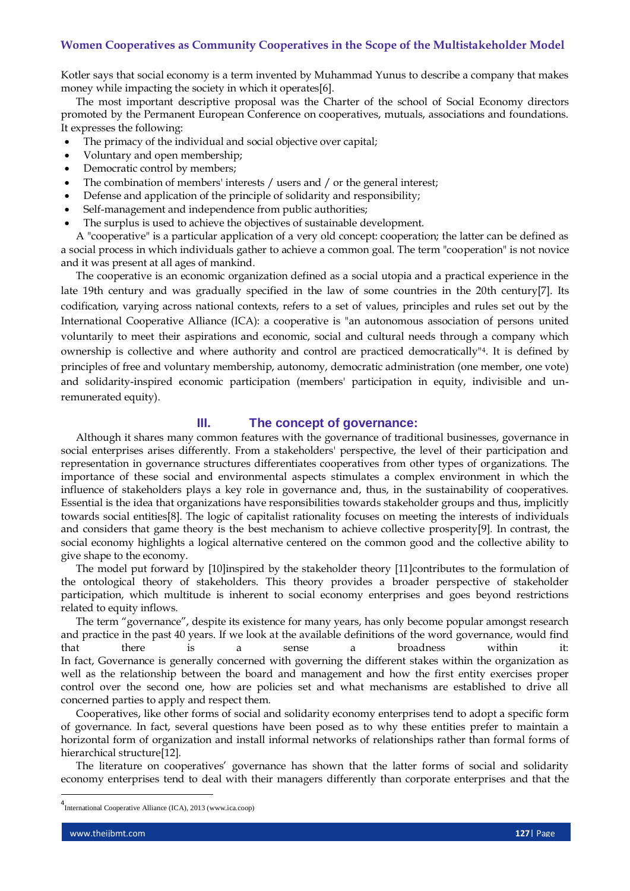Kotler says that social economy is a term invented by Muhammad Yunus to describe a company that makes money while impacting the society in which it operates[6].

The most important descriptive proposal was the Charter of the school of Social Economy directors promoted by the Permanent European Conference on cooperatives, mutuals, associations and foundations. It expresses the following:

- The primacy of the individual and social objective over capital;
- Voluntary and open membership;
- Democratic control by members;
- The combination of members' interests / users and / or the general interest;
- Defense and application of the principle of solidarity and responsibility;
- Self-management and independence from public authorities;
- The surplus is used to achieve the objectives of sustainable development.

A "cooperative" is a particular application of a very old concept: cooperation; the latter can be defined as a social process in which individuals gather to achieve a common goal. The term "cooperation" is not novice and it was present at all ages of mankind.

The cooperative is an economic organization defined as a social utopia and a practical experience in the late 19th century and was gradually specified in the law of some countries in the 20th century[7]. Its codification, varying across national contexts, refers to a set of values, principles and rules set out by the International Cooperative Alliance (ICA): a cooperative is "an autonomous association of persons united voluntarily to meet their aspirations and economic, social and cultural needs through a company which ownership is collective and where authority and control are practiced democratically"4. It is defined by principles of free and voluntary membership, autonomy, democratic administration (one member, one vote) and solidarity-inspired economic participation (members' participation in equity, indivisible and unremunerated equity).

# **III. The concept of governance:**

Although it shares many common features with the governance of traditional businesses, governance in social enterprises arises differently. From a stakeholders' perspective, the level of their participation and representation in governance structures differentiates cooperatives from other types of organizations. The importance of these social and environmental aspects stimulates a complex environment in which the influence of stakeholders plays a key role in governance and, thus, in the sustainability of cooperatives. Essential is the idea that organizations have responsibilities towards stakeholder groups and thus, implicitly towards social entities[8]. The logic of capitalist rationality focuses on meeting the interests of individuals and considers that game theory is the best mechanism to achieve collective prosperity[9]. In contrast, the social economy highlights a logical alternative centered on the common good and the collective ability to give shape to the economy.

The model put forward by [10]inspired by the stakeholder theory [11]contributes to the formulation of the ontological theory of stakeholders. This theory provides a broader perspective of stakeholder participation, which multitude is inherent to social economy enterprises and goes beyond restrictions related to equity inflows.

The term "governance", despite its existence for many years, has only become popular amongst research and practice in the past 40 years. If we look at the available definitions of the word governance, would find that there is a sense a broadness within it: In fact, Governance is generally concerned with governing the different stakes within the organization as well as the relationship between the board and management and how the first entity exercises proper control over the second one, how are policies set and what mechanisms are established to drive all concerned parties to apply and respect them.

Cooperatives, like other forms of social and solidarity economy enterprises tend to adopt a specific form of governance. In fact, several questions have been posed as to why these entities prefer to maintain a horizontal form of organization and install informal networks of relationships rather than formal forms of hierarchical structure<sup>[12]</sup>.

The literature on cooperatives' governance has shown that the latter forms of social and solidarity economy enterprises tend to deal with their managers differently than corporate enterprises and that the

 $\overline{a}$ 

<sup>4</sup> International Cooperative Alliance (ICA), 2013 (www.ica.coop)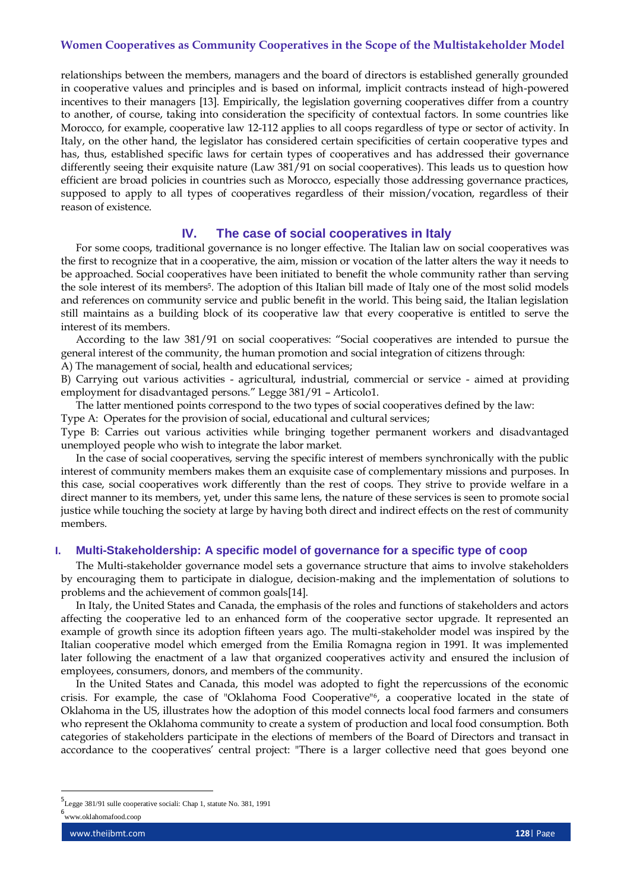relationships between the members, managers and the board of directors is established generally grounded in cooperative values and principles and is based on informal, implicit contracts instead of high-powered incentives to their managers [13]. Empirically, the legislation governing cooperatives differ from a country to another, of course, taking into consideration the specificity of contextual factors. In some countries like Morocco, for example, cooperative law 12-112 applies to all coops regardless of type or sector of activity. In Italy, on the other hand, the legislator has considered certain specificities of certain cooperative types and has, thus, established specific laws for certain types of cooperatives and has addressed their governance differently seeing their exquisite nature (Law 381/91 on social cooperatives). This leads us to question how efficient are broad policies in countries such as Morocco, especially those addressing governance practices, supposed to apply to all types of cooperatives regardless of their mission/vocation, regardless of their reason of existence.

# **IV. The case of social cooperatives in Italy**

For some coops, traditional governance is no longer effective. The Italian law on social cooperatives was the first to recognize that in a cooperative, the aim, mission or vocation of the latter alters the way it needs to be approached. Social cooperatives have been initiated to benefit the whole community rather than serving the sole interest of its members5. The adoption of this Italian bill made of Italy one of the most solid models and references on community service and public benefit in the world. This being said, the Italian legislation still maintains as a building block of its cooperative law that every cooperative is entitled to serve the interest of its members.

According to the law 381/91 on social cooperatives: "Social cooperatives are intended to pursue the general interest of the community, the human promotion and social integration of citizens through:

A) The management of social, health and educational services;

B) Carrying out various activities - agricultural, industrial, commercial or service - aimed at providing employment for disadvantaged persons." Legge 381/91 – Articolo1.

The latter mentioned points correspond to the two types of social cooperatives defined by the law:

Type A: Operates for the provision of social, educational and cultural services;

Type B: Carries out various activities while bringing together permanent workers and disadvantaged unemployed people who wish to integrate the labor market.

In the case of social cooperatives, serving the specific interest of members synchronically with the public interest of community members makes them an exquisite case of complementary missions and purposes. In this case, social cooperatives work differently than the rest of coops. They strive to provide welfare in a direct manner to its members, yet, under this same lens, the nature of these services is seen to promote social justice while touching the society at large by having both direct and indirect effects on the rest of community members.

# **I. Multi-Stakeholdership: A specific model of governance for a specific type of coop**

The Multi-stakeholder governance model sets a governance structure that aims to involve stakeholders by encouraging them to participate in dialogue, decision-making and the implementation of solutions to problems and the achievement of common goals[14].

In Italy, the United States and Canada, the emphasis of the roles and functions of stakeholders and actors affecting the cooperative led to an enhanced form of the cooperative sector upgrade. It represented an example of growth since its adoption fifteen years ago. The multi-stakeholder model was inspired by the Italian cooperative model which emerged from the Emilia Romagna region in 1991. It was implemented later following the enactment of a law that organized cooperatives activity and ensured the inclusion of employees, consumers, donors, and members of the community.

In the United States and Canada, this model was adopted to fight the repercussions of the economic crisis. For example, the case of "Oklahoma Food Cooperative"6, a cooperative located in the state of Oklahoma in the US, illustrates how the adoption of this model connects local food farmers and consumers who represent the Oklahoma community to create a system of production and local food consumption. Both categories of stakeholders participate in the elections of members of the Board of Directors and transact in accordance to the cooperatives" central project: "There is a larger collective need that goes beyond one

6 www.oklahomafood.coop

<sup>5</sup> Legge 381/91 sulle cooperative sociali: Chap 1, statute No. 381, 1991

www.theijbmt.com **128**| Page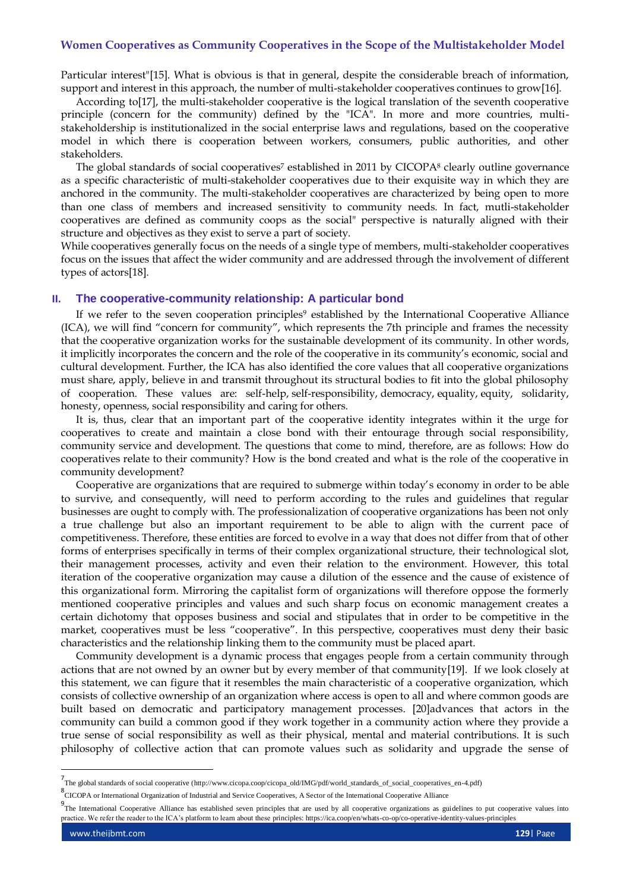Particular interest"[15]. What is obvious is that in general, despite the considerable breach of information, support and interest in this approach, the number of multi-stakeholder cooperatives continues to grow[16].

According to[17], the multi-stakeholder cooperative is the logical translation of the seventh cooperative principle (concern for the community) defined by the "ICA". In more and more countries, multistakeholdership is institutionalized in the social enterprise laws and regulations, based on the cooperative model in which there is cooperation between workers, consumers, public authorities, and other stakeholders.

The global standards of social cooperatives<sup>7</sup> established in 2011 by CICOPA<sup>8</sup> clearly outline governance as a specific characteristic of multi-stakeholder cooperatives due to their exquisite way in which they are anchored in the community. The multi-stakeholder cooperatives are characterized by being open to more than one class of members and increased sensitivity to community needs. In fact, mutli-stakeholder cooperatives are defined as community coops as the social" perspective is naturally aligned with their structure and objectives as they exist to serve a part of society.

While cooperatives generally focus on the needs of a single type of members, multi-stakeholder cooperatives focus on the issues that affect the wider community and are addressed through the involvement of different types of actors[18].

#### **II. The cooperative-community relationship: A particular bond**

If we refer to the seven cooperation principles<sup>9</sup> established by the International Cooperative Alliance (ICA), we will find "concern for community", which represents the 7th principle and frames the necessity that the cooperative organization works for the sustainable development of its community. In other words, it implicitly incorporates the concern and the role of the cooperative in its community"s economic, social and cultural development. Further, the ICA has also identified the core values that all cooperative organizations must share, apply, believe in and transmit throughout its structural bodies to fit into the global philosophy of cooperation. These values are: self-help, self-responsibility, democracy, equality, equity, solidarity, honesty, openness, social responsibility and caring for others.

It is, thus, clear that an important part of the cooperative identity integrates within it the urge for cooperatives to create and maintain a close bond with their entourage through social responsibility, community service and development. The questions that come to mind, therefore, are as follows: How do cooperatives relate to their community? How is the bond created and what is the role of the cooperative in community development?

Cooperative are organizations that are required to submerge within today"s economy in order to be able to survive, and consequently, will need to perform according to the rules and guidelines that regular businesses are ought to comply with. The professionalization of cooperative organizations has been not only a true challenge but also an important requirement to be able to align with the current pace of competitiveness. Therefore, these entities are forced to evolve in a way that does not differ from that of other forms of enterprises specifically in terms of their complex organizational structure, their technological slot, their management processes, activity and even their relation to the environment. However, this total iteration of the cooperative organization may cause a dilution of the essence and the cause of existence of this organizational form. Mirroring the capitalist form of organizations will therefore oppose the formerly mentioned cooperative principles and values and such sharp focus on economic management creates a certain dichotomy that opposes business and social and stipulates that in order to be competitive in the market, cooperatives must be less "cooperative". In this perspective, cooperatives must deny their basic characteristics and the relationship linking them to the community must be placed apart.

Community development is a dynamic process that engages people from a certain community through actions that are not owned by an owner but by every member of that community[19]. If we look closely at this statement, we can figure that it resembles the main characteristic of a cooperative organization, which consists of collective ownership of an organization where access is open to all and where common goods are built based on democratic and participatory management processes. [20]advances that actors in the community can build a common good if they work together in a community action where they provide a true sense of social responsibility as well as their physical, mental and material contributions. It is such philosophy of collective action that can promote values such as solidarity and upgrade the sense of

 $\overline{a}$ 

<sup>7</sup> The global standards of social cooperative (http://www.cicopa.coop/cicopa\_old/IMG/pdf/world\_standards\_of\_social\_cooperatives\_en-4.pdf)

<sup>8</sup> CICOPA or International Organization of Industrial and Service Cooperatives, A Sector of the International Cooperative Alliance

<sup>9</sup> The International Cooperative Alliance has established seven principles that are used by all cooperative organizations as guidelines to put cooperative values into practice. We refer the reader to the ICA's platform to learn about these principles: https://ica.coop/en/whats-co-op/co-operative-identity-values-principles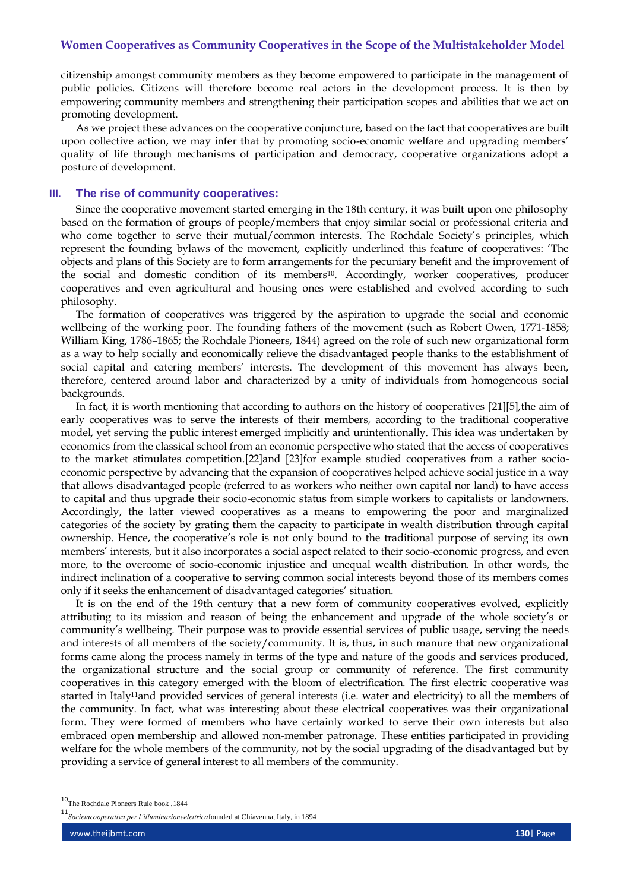citizenship amongst community members as they become empowered to participate in the management of public policies. Citizens will therefore become real actors in the development process. It is then by empowering community members and strengthening their participation scopes and abilities that we act on promoting development.

As we project these advances on the cooperative conjuncture, based on the fact that cooperatives are built upon collective action, we may infer that by promoting socio-economic welfare and upgrading members" quality of life through mechanisms of participation and democracy, cooperative organizations adopt a posture of development.

#### **III. The rise of community cooperatives:**

Since the cooperative movement started emerging in the 18th century, it was built upon one philosophy based on the formation of groups of people/members that enjoy similar social or professional criteria and who come together to serve their mutual/common interests. The Rochdale Society's principles, which represent the founding bylaws of the movement, explicitly underlined this feature of cooperatives: "The objects and plans of this Society are to form arrangements for the pecuniary benefit and the improvement of the social and domestic condition of its members10. Accordingly, worker cooperatives, producer cooperatives and even agricultural and housing ones were established and evolved according to such philosophy.

The formation of cooperatives was triggered by the aspiration to upgrade the social and economic wellbeing of the working poor. The founding fathers of the movement (such as Robert Owen, 1771-1858; William King, 1786–1865; the Rochdale Pioneers, 1844) agreed on the role of such new organizational form as a way to help socially and economically relieve the disadvantaged people thanks to the establishment of social capital and catering members' interests. The development of this movement has always been, therefore, centered around labor and characterized by a unity of individuals from homogeneous social backgrounds.

In fact, it is worth mentioning that according to authors on the history of cooperatives [21][5],the aim of early cooperatives was to serve the interests of their members, according to the traditional cooperative model, yet serving the public interest emerged implicitly and unintentionally. This idea was undertaken by economics from the classical school from an economic perspective who stated that the access of cooperatives to the market stimulates competition.[22]and [23]for example studied cooperatives from a rather socioeconomic perspective by advancing that the expansion of cooperatives helped achieve social justice in a way that allows disadvantaged people (referred to as workers who neither own capital nor land) to have access to capital and thus upgrade their socio-economic status from simple workers to capitalists or landowners. Accordingly, the latter viewed cooperatives as a means to empowering the poor and marginalized categories of the society by grating them the capacity to participate in wealth distribution through capital ownership. Hence, the cooperative"s role is not only bound to the traditional purpose of serving its own members" interests, but it also incorporates a social aspect related to their socio-economic progress, and even more, to the overcome of socio-economic injustice and unequal wealth distribution. In other words, the indirect inclination of a cooperative to serving common social interests beyond those of its members comes only if it seeks the enhancement of disadvantaged categories' situation.

It is on the end of the 19th century that a new form of community cooperatives evolved, explicitly attributing to its mission and reason of being the enhancement and upgrade of the whole society"s or community's wellbeing. Their purpose was to provide essential services of public usage, serving the needs and interests of all members of the society/community. It is, thus, in such manure that new organizational forms came along the process namely in terms of the type and nature of the goods and services produced, the organizational structure and the social group or community of reference. The first community cooperatives in this category emerged with the bloom of electrification. The first electric cooperative was started in Italy<sup>11</sup>and provided services of general interests (i.e. water and electricity) to all the members of the community. In fact, what was interesting about these electrical cooperatives was their organizational form. They were formed of members who have certainly worked to serve their own interests but also embraced open membership and allowed non-member patronage. These entities participated in providing welfare for the whole members of the community, not by the social upgrading of the disadvantaged but by providing a service of general interest to all members of the community.

<sup>10</sup> The Rochdale Pioneers Rule book ,1844

<sup>11</sup> *Societacooperativa per l'illuminazioneelettrica*founded at Chiavenna, Italy, in 1894

www.theijbmt.com **130**| Page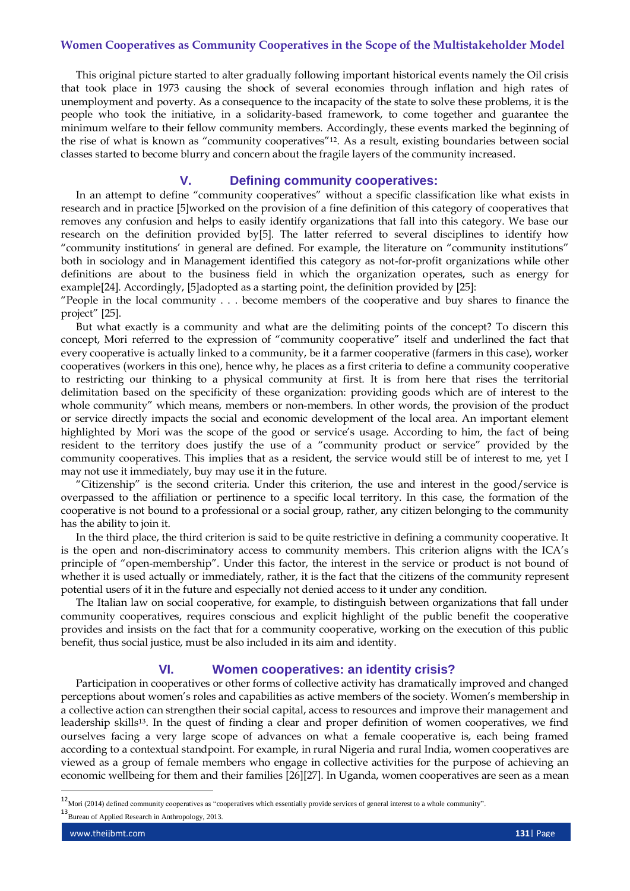This original picture started to alter gradually following important historical events namely the Oil crisis that took place in 1973 causing the shock of several economies through inflation and high rates of unemployment and poverty. As a consequence to the incapacity of the state to solve these problems, it is the people who took the initiative, in a solidarity-based framework, to come together and guarantee the minimum welfare to their fellow community members. Accordingly, these events marked the beginning of the rise of what is known as "community cooperatives"12. As a result, existing boundaries between social classes started to become blurry and concern about the fragile layers of the community increased.

# **V. Defining community cooperatives:**

In an attempt to define "community cooperatives" without a specific classification like what exists in research and in practice [5]worked on the provision of a fine definition of this category of cooperatives that removes any confusion and helps to easily identify organizations that fall into this category. We base our research on the definition provided by[5]. The latter referred to several disciplines to identify how "community institutions" in general are defined. For example, the literature on "community institutions" both in sociology and in Management identified this category as not-for-profit organizations while other definitions are about to the business field in which the organization operates, such as energy for example[24]. Accordingly, [5]adopted as a starting point, the definition provided by [25]:

"People in the local community  $\ldots$  become members of the cooperative and buy shares to finance the project" [25].

But what exactly is a community and what are the delimiting points of the concept? To discern this concept, Mori referred to the expression of "community cooperative" itself and underlined the fact that every cooperative is actually linked to a community, be it a farmer cooperative (farmers in this case), worker cooperatives (workers in this one), hence why, he places as a first criteria to define a community cooperative to restricting our thinking to a physical community at first. It is from here that rises the territorial delimitation based on the specificity of these organization: providing goods which are of interest to the whole community" which means, members or non-members. In other words, the provision of the product or service directly impacts the social and economic development of the local area. An important element highlighted by Mori was the scope of the good or service's usage. According to him, the fact of being resident to the territory does justify the use of a "community product or service" provided by the community cooperatives. This implies that as a resident, the service would still be of interest to me, yet I may not use it immediately, buy may use it in the future.

"Citizenship" is the second criteria. Under this criterion, the use and interest in the good/service is overpassed to the affiliation or pertinence to a specific local territory. In this case, the formation of the cooperative is not bound to a professional or a social group, rather, any citizen belonging to the community has the ability to join it.

In the third place, the third criterion is said to be quite restrictive in defining a community cooperative. It is the open and non-discriminatory access to community members. This criterion aligns with the ICA"s principle of "open-membership". Under this factor, the interest in the service or product is not bound of whether it is used actually or immediately, rather, it is the fact that the citizens of the community represent potential users of it in the future and especially not denied access to it under any condition.

The Italian law on social cooperative, for example, to distinguish between organizations that fall under community cooperatives, requires conscious and explicit highlight of the public benefit the cooperative provides and insists on the fact that for a community cooperative, working on the execution of this public benefit, thus social justice, must be also included in its aim and identity.

# **VI. Women cooperatives: an identity crisis?**

Participation in cooperatives or other forms of collective activity has dramatically improved and changed perceptions about women"s roles and capabilities as active members of the society. Women"s membership in a collective action can strengthen their social capital, access to resources and improve their management and leadership skills13. In the quest of finding a clear and proper definition of women cooperatives, we find ourselves facing a very large scope of advances on what a female cooperative is, each being framed according to a contextual standpoint. For example, in rural Nigeria and rural India, women cooperatives are viewed as a group of female members who engage in collective activities for the purpose of achieving an economic wellbeing for them and their families [26][27]. In Uganda, women cooperatives are seen as a mean

<sup>12</sup> Mori (2014) defined community cooperatives as "cooperatives which essentially provide services of general interest to a whole community".

<sup>13</sup> Bureau of Applied Research in Anthropology, 2013.

www.theijbmt.com **131**| Page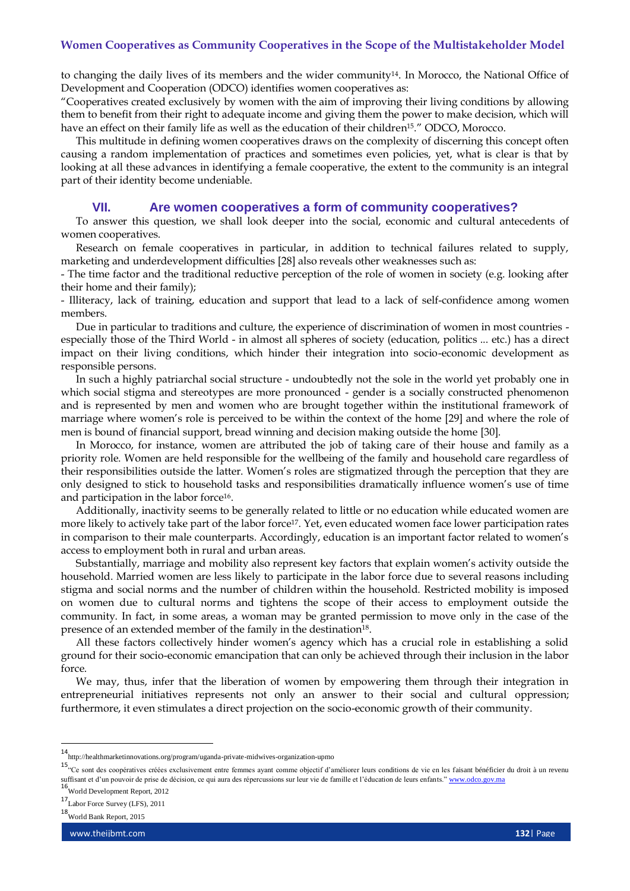to changing the daily lives of its members and the wider community<sup>14</sup>. In Morocco, the National Office of Development and Cooperation (ODCO) identifies women cooperatives as:

"Cooperatives created exclusively by women with the aim of improving their living conditions by allowing them to benefit from their right to adequate income and giving them the power to make decision, which will have an effect on their family life as well as the education of their children15." ODCO, Morocco.

This multitude in defining women cooperatives draws on the complexity of discerning this concept often causing a random implementation of practices and sometimes even policies, yet, what is clear is that by looking at all these advances in identifying a female cooperative, the extent to the community is an integral part of their identity become undeniable.

# **VII. Are women cooperatives a form of community cooperatives?**

To answer this question, we shall look deeper into the social, economic and cultural antecedents of women cooperatives.

Research on female cooperatives in particular, in addition to technical failures related to supply, marketing and underdevelopment difficulties [28] also reveals other weaknesses such as:

- The time factor and the traditional reductive perception of the role of women in society (e.g. looking after their home and their family);

- Illiteracy, lack of training, education and support that lead to a lack of self-confidence among women members.

Due in particular to traditions and culture, the experience of discrimination of women in most countries especially those of the Third World - in almost all spheres of society (education, politics ... etc.) has a direct impact on their living conditions, which hinder their integration into socio-economic development as responsible persons.

In such a highly patriarchal social structure - undoubtedly not the sole in the world yet probably one in which social stigma and stereotypes are more pronounced - gender is a socially constructed phenomenon and is represented by men and women who are brought together within the institutional framework of marriage where women"s role is perceived to be within the context of the home [29] and where the role of men is bound of financial support, bread winning and decision making outside the home [30].

In Morocco, for instance, women are attributed the job of taking care of their house and family as a priority role. Women are held responsible for the wellbeing of the family and household care regardless of their responsibilities outside the latter. Women"s roles are stigmatized through the perception that they are only designed to stick to household tasks and responsibilities dramatically influence women"s use of time and participation in the labor force16.

Additionally, inactivity seems to be generally related to little or no education while educated women are more likely to actively take part of the labor force<sup>17</sup>. Yet, even educated women face lower participation rates in comparison to their male counterparts. Accordingly, education is an important factor related to women"s access to employment both in rural and urban areas.

Substantially, marriage and mobility also represent key factors that explain women"s activity outside the household. Married women are less likely to participate in the labor force due to several reasons including stigma and social norms and the number of children within the household. Restricted mobility is imposed on women due to cultural norms and tightens the scope of their access to employment outside the community. In fact, in some areas, a woman may be granted permission to move only in the case of the presence of an extended member of the family in the destination<sup>18</sup>.

All these factors collectively hinder women"s agency which has a crucial role in establishing a solid ground for their socio-economic emancipation that can only be achieved through their inclusion in the labor force.

We may, thus, infer that the liberation of women by empowering them through their integration in entrepreneurial initiatives represents not only an answer to their social and cultural oppression; furthermore, it even stimulates a direct projection on the socio-economic growth of their community.

 14 <http://healthmarketinnovations.org/program/uganda-private-midwives-organization-upmo>

<sup>15</sup> "Ce sont des coopératives créées exclusivement entre femmes ayant comme objectif d'améliorer leurs conditions de vie en les faisant bénéficier du droit à un revenu suffisant et d'un pouvoir de prise de décision, ce qui aura des répercussions sur leur vie de famille et l'éducation de leurs enfants." <u>www.odco.gov.ma</u><br><sup>16</sup> World Development Report, 2012

<sup>17</sup> Labor Force Survey (LFS), 2011 18 World Bank Report, 2015

www.theijbmt.com **132**| Page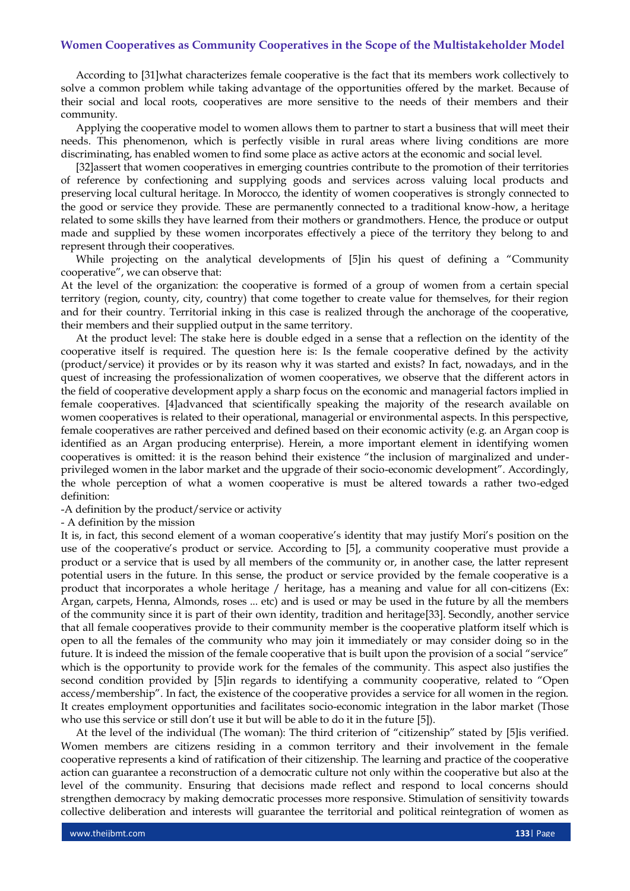According to [31]what characterizes female cooperative is the fact that its members work collectively to solve a common problem while taking advantage of the opportunities offered by the market. Because of their social and local roots, cooperatives are more sensitive to the needs of their members and their community.

Applying the cooperative model to women allows them to partner to start a business that will meet their needs. This phenomenon, which is perfectly visible in rural areas where living conditions are more discriminating, has enabled women to find some place as active actors at the economic and social level.

[32]assert that women cooperatives in emerging countries contribute to the promotion of their territories of reference by confectioning and supplying goods and services across valuing local products and preserving local cultural heritage. In Morocco, the identity of women cooperatives is strongly connected to the good or service they provide. These are permanently connected to a traditional know-how, a heritage related to some skills they have learned from their mothers or grandmothers. Hence, the produce or output made and supplied by these women incorporates effectively a piece of the territory they belong to and represent through their cooperatives.

While projecting on the analytical developments of [5]in his quest of defining a "Community cooperative", we can observe that:

At the level of the organization: the cooperative is formed of a group of women from a certain special territory (region, county, city, country) that come together to create value for themselves, for their region and for their country. Territorial inking in this case is realized through the anchorage of the cooperative, their members and their supplied output in the same territory.

At the product level: The stake here is double edged in a sense that a reflection on the identity of the cooperative itself is required. The question here is: Is the female cooperative defined by the activity (product/service) it provides or by its reason why it was started and exists? In fact, nowadays, and in the quest of increasing the professionalization of women cooperatives, we observe that the different actors in the field of cooperative development apply a sharp focus on the economic and managerial factors implied in female cooperatives. [4]advanced that scientifically speaking the majority of the research available on women cooperatives is related to their operational, managerial or environmental aspects. In this perspective, female cooperatives are rather perceived and defined based on their economic activity (e.g. an Argan coop is identified as an Argan producing enterprise). Herein, a more important element in identifying women cooperatives is omitted: it is the reason behind their existence "the inclusion of marginalized and underprivileged women in the labor market and the upgrade of their socio-economic development". Accordingly, the whole perception of what a women cooperative is must be altered towards a rather two-edged definition:

-A definition by the product/service or activity

- A definition by the mission

It is, in fact, this second element of a woman cooperative's identity that may justify Mori's position on the use of the cooperative's product or service. According to [5], a community cooperative must provide a product or a service that is used by all members of the community or, in another case, the latter represent potential users in the future. In this sense, the product or service provided by the female cooperative is a product that incorporates a whole heritage / heritage, has a meaning and value for all con-citizens (Ex: Argan, carpets, Henna, Almonds, roses ... etc) and is used or may be used in the future by all the members of the community since it is part of their own identity, tradition and heritage[33]. Secondly, another service that all female cooperatives provide to their community member is the cooperative platform itself which is open to all the females of the community who may join it immediately or may consider doing so in the future. It is indeed the mission of the female cooperative that is built upon the provision of a social "service" which is the opportunity to provide work for the females of the community. This aspect also justifies the second condition provided by [5]in regards to identifying a community cooperative, related to "Open access/membership". In fact, the existence of the cooperative provides a service for all women in the region. It creates employment opportunities and facilitates socio-economic integration in the labor market (Those who use this service or still don't use it but will be able to do it in the future [5]).

At the level of the individual (The woman): The third criterion of "citizenship" stated by [5]is verified. Women members are citizens residing in a common territory and their involvement in the female cooperative represents a kind of ratification of their citizenship. The learning and practice of the cooperative action can guarantee a reconstruction of a democratic culture not only within the cooperative but also at the level of the community. Ensuring that decisions made reflect and respond to local concerns should strengthen democracy by making democratic processes more responsive. Stimulation of sensitivity towards collective deliberation and interests will guarantee the territorial and political reintegration of women as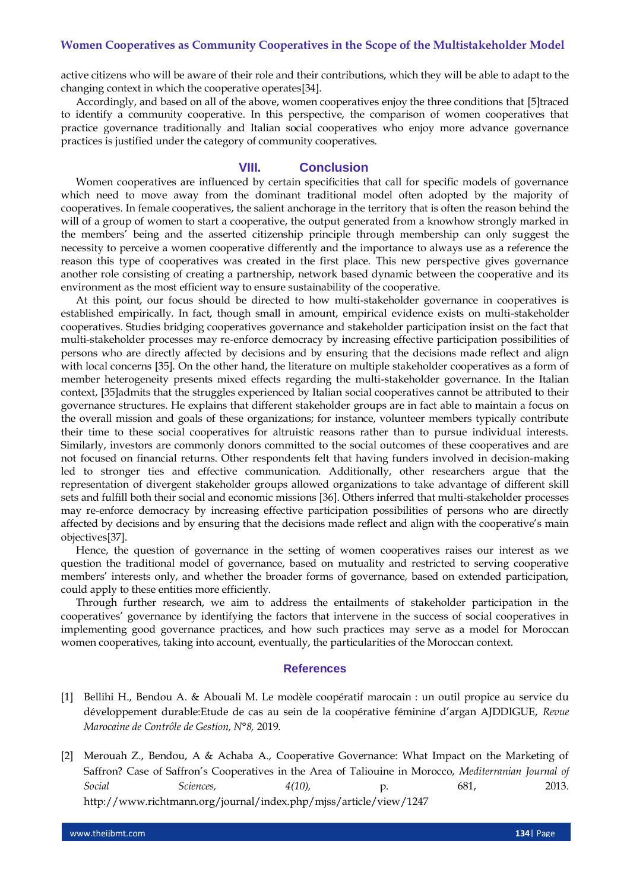active citizens who will be aware of their role and their contributions, which they will be able to adapt to the changing context in which the cooperative operates[34].

Accordingly, and based on all of the above, women cooperatives enjoy the three conditions that [5]traced to identify a community cooperative. In this perspective, the comparison of women cooperatives that practice governance traditionally and Italian social cooperatives who enjoy more advance governance practices is justified under the category of community cooperatives.

# **VIII. Conclusion**

Women cooperatives are influenced by certain specificities that call for specific models of governance which need to move away from the dominant traditional model often adopted by the majority of cooperatives. In female cooperatives, the salient anchorage in the territory that is often the reason behind the will of a group of women to start a cooperative, the output generated from a knowhow strongly marked in the members" being and the asserted citizenship principle through membership can only suggest the necessity to perceive a women cooperative differently and the importance to always use as a reference the reason this type of cooperatives was created in the first place. This new perspective gives governance another role consisting of creating a partnership, network based dynamic between the cooperative and its environment as the most efficient way to ensure sustainability of the cooperative.

At this point, our focus should be directed to how multi-stakeholder governance in cooperatives is established empirically. In fact, though small in amount, empirical evidence exists on multi-stakeholder cooperatives. Studies bridging cooperatives governance and stakeholder participation insist on the fact that multi-stakeholder processes may re-enforce democracy by increasing effective participation possibilities of persons who are directly affected by decisions and by ensuring that the decisions made reflect and align with local concerns [35]. On the other hand, the literature on multiple stakeholder cooperatives as a form of member heterogeneity presents mixed effects regarding the multi-stakeholder governance. In the Italian context, [35]admits that the struggles experienced by Italian social cooperatives cannot be attributed to their governance structures. He explains that different stakeholder groups are in fact able to maintain a focus on the overall mission and goals of these organizations; for instance, volunteer members typically contribute their time to these social cooperatives for altruistic reasons rather than to pursue individual interests. Similarly, investors are commonly donors committed to the social outcomes of these cooperatives and are not focused on financial returns. Other respondents felt that having funders involved in decision-making led to stronger ties and effective communication. Additionally, other researchers argue that the representation of divergent stakeholder groups allowed organizations to take advantage of different skill sets and fulfill both their social and economic missions [36]. Others inferred that multi-stakeholder processes may re-enforce democracy by increasing effective participation possibilities of persons who are directly affected by decisions and by ensuring that the decisions made reflect and align with the cooperative's main objectives[37].

Hence, the question of governance in the setting of women cooperatives raises our interest as we question the traditional model of governance, based on mutuality and restricted to serving cooperative members" interests only, and whether the broader forms of governance, based on extended participation, could apply to these entities more efficiently.

Through further research, we aim to address the entailments of stakeholder participation in the cooperatives" governance by identifying the factors that intervene in the success of social cooperatives in implementing good governance practices, and how such practices may serve as a model for Moroccan women cooperatives, taking into account, eventually, the particularities of the Moroccan context.

#### **References**

- [1] Bellihi H., Bendou A. & Abouali M. Le modèle coopératif marocain : un outil propice au service du développement durable:Etude de cas au sein de la coopérative féminine d"argan AJDDIGUE, *Revue Marocaine de Contrôle de Gestion, N°8,* 2019.
- [2] Merouah Z., Bendou, A & Achaba A., Cooperative Governance: What Impact on the Marketing of Saffron? Case of Saffron"s Cooperatives in the Area of Taliouine in Morocco, *Mediterranian Journal of Social Sciences, 4(10),* p. 681, 2013. http://www.richtmann.org/journal/index.php/mjss/article/view/1247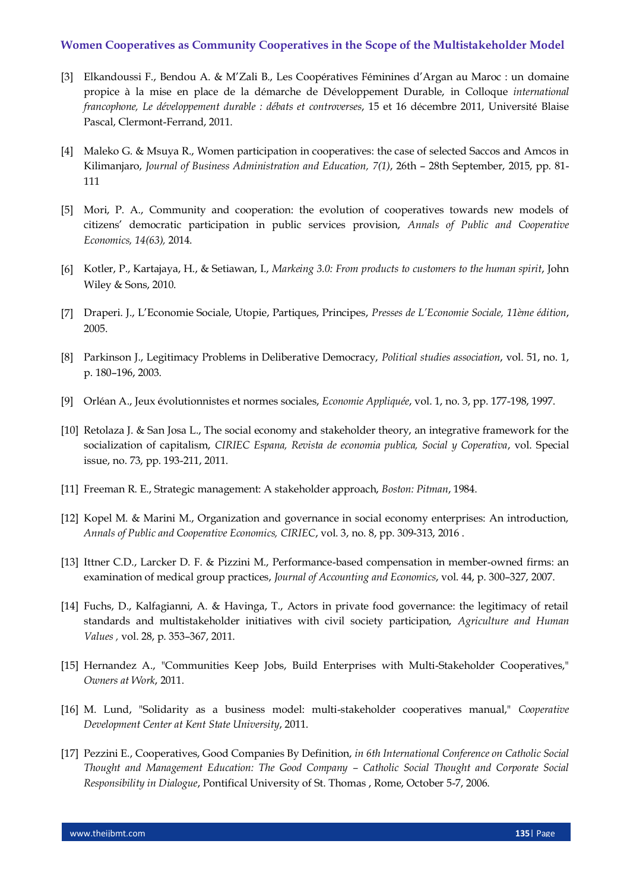- [3] Elkandoussi F., Bendou A. & M"Zali B., Les Coopératives Féminines d"Argan au Maroc : un domaine propice à la mise en place de la démarche de Développement Durable, in Colloque *international francophone, Le développement durable : débats et controverses*, 15 et 16 décembre 2011, Université Blaise Pascal, Clermont-Ferrand, 2011.
- [4] Maleko G. & Msuya R., Women participation in cooperatives: the case of selected Saccos and Amcos in Kilimanjaro, *Journal of Business Administration and Education, 7(1)*, 26th – 28th September, 2015, pp. 81- 111
- [5] Mori, P. A., Community and cooperation: the evolution of cooperatives towards new models of citizens" democratic participation in public services provision, *Annals of Public and Cooperative Economics, 14(63),* 2014.
- [6] Kotler, P., Kartajaya, H., & Setiawan, I., *Markeing 3.0: From products to customers to the human spirit*, John Wiley & Sons, 2010.
- [7] Draperi. J., L"Economie Sociale, Utopie, Partiques, Principes, *Presses de L'Economie Sociale, 11ème édition*, 2005.
- [8] Parkinson J., Legitimacy Problems in Deliberative Democracy, *Political studies association*, vol. 51, no. 1, p. 180–196, 2003.
- [9] Orléan A., Jeux évolutionnistes et normes sociales, *Economie Appliquée*, vol. 1, no. 3, pp. 177-198, 1997.
- [10] Retolaza J. & San Josa L., The social economy and stakeholder theory, an integrative framework for the socialization of capitalism, *CIRIEC Espana, Revista de economia publica, Social y Coperativa*, vol. Special issue, no. 73, pp. 193-211, 2011.
- [11] Freeman R. E., Strategic management: A stakeholder approach, *Boston: Pitman*, 1984.
- [12] Kopel M. & Marini M., Organization and governance in social economy enterprises: An introduction, *Annals of Public and Cooperative Economics, CIRIEC*, vol. 3, no. 8, pp. 309-313, 2016 .
- [13] Ittner C.D., Larcker D. F. & Pizzini M., Performance-based compensation in member-owned firms: an examination of medical group practices, *Journal of Accounting and Economics*, vol. 44, p. 300–327, 2007.
- [14] Fuchs, D., Kalfagianni, A. & Havinga, T., Actors in private food governance: the legitimacy of retail standards and multistakeholder initiatives with civil society participation, *Agriculture and Human Values ,* vol. 28, p. 353–367, 2011.
- [15] Hernandez A., "Communities Keep Jobs, Build Enterprises with Multi-Stakeholder Cooperatives," *Owners at Work*, 2011.
- [16] M. Lund, "Solidarity as a business model: multi-stakeholder cooperatives manual," *Cooperative Development Center at Kent State University*, 2011.
- [17] Pezzini E., Cooperatives, Good Companies By Definition, *in 6th International Conference on Catholic Social Thought and Management Education: The Good Company – Catholic Social Thought and Corporate Social Responsibility in Dialogue*, Pontifical University of St. Thomas , Rome, October 5-7, 2006.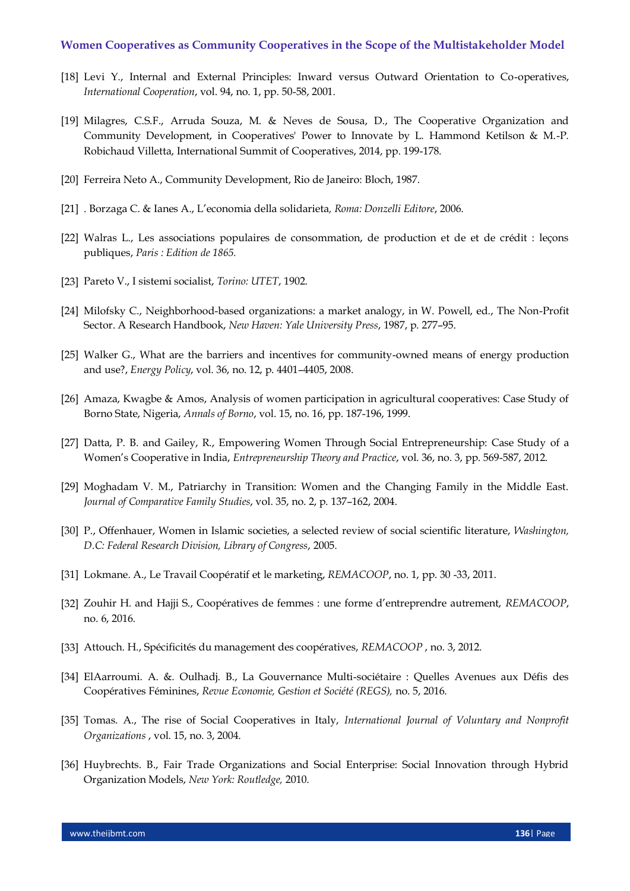- [18] Levi Y., Internal and External Principles: Inward versus Outward Orientation to Co-operatives, *International Cooperation*, vol. 94, no. 1, pp. 50-58, 2001.
- [19] Milagres, C.S.F., Arruda Souza, M. & Neves de Sousa, D., The Cooperative Organization and Community Development, in Cooperatives' Power to Innovate by L. Hammond Ketilson & M.-P. Robichaud Villetta, International Summit of Cooperatives, 2014, pp. 199-178.
- [20] Ferreira Neto A., Community Development, Rio de Janeiro: Bloch, 1987.
- [21] . Borzaga C. & Ianes A., L"economia della solidarieta*, Roma: Donzelli Editore*, 2006.
- [22] Walras L., Les associations populaires de consommation, de production et de et de crédit : leçons publiques, *Paris : Edition de 1865.*
- [23] Pareto V., I sistemi socialist, *Torino: UTET*, 1902.
- [24] Milofsky C., Neighborhood-based organizations: a market analogy, in W. Powell, ed., The Non-Profit Sector. A Research Handbook, *New Haven: Yale University Press*, 1987, p. 277–95.
- [25] Walker G., What are the barriers and incentives for community-owned means of energy production and use?, *Energy Policy*, vol. 36, no. 12, p. 4401–4405, 2008.
- [26] Amaza, Kwagbe & Amos, Analysis of women participation in agricultural cooperatives: Case Study of Borno State, Nigeria, *Annals of Borno*, vol. 15, no. 16, pp. 187-196, 1999.
- [27] Datta, P. B. and Gailey, R., Empowering Women Through Social Entrepreneurship: Case Study of a Women"s Cooperative in India, *Entrepreneurship Theory and Practice*, vol. 36, no. 3, pp. 569-587, 2012.
- [29] Moghadam V. M., Patriarchy in Transition: Women and the Changing Family in the Middle East. *Journal of Comparative Family Studies*, vol. 35, no. 2, p. 137–162, 2004.
- [30] P., Offenhauer, Women in Islamic societies, a selected review of social scientific literature, *Washington, D.C: Federal Research Division, Library of Congress*, 2005.
- [31] Lokmane. A., Le Travail Coopératif et le marketing, *REMACOOP*, no. 1, pp. 30 -33, 2011.
- [32] Zouhir H. and Hajji S., Coopératives de femmes : une forme d"entreprendre autrement, *REMACOOP*, no. 6, 2016.
- [33] Attouch. H., Spécificités du management des coopératives, *REMACOOP* , no. 3, 2012.
- [34] ElAarroumi. A. &. Oulhadj. B., La Gouvernance Multi-sociétaire : Quelles Avenues aux Défis des Coopératives Féminines, *Revue Economie, Gestion et Société (REGS),* no. 5, 2016.
- [35] Tomas. A., The rise of Social Cooperatives in Italy, *International Journal of Voluntary and Nonprofit Organizations* , vol. 15, no. 3, 2004.
- [36] Huybrechts. B., Fair Trade Organizations and Social Enterprise: Social Innovation through Hybrid Organization Models, *New York: Routledge,* 2010.